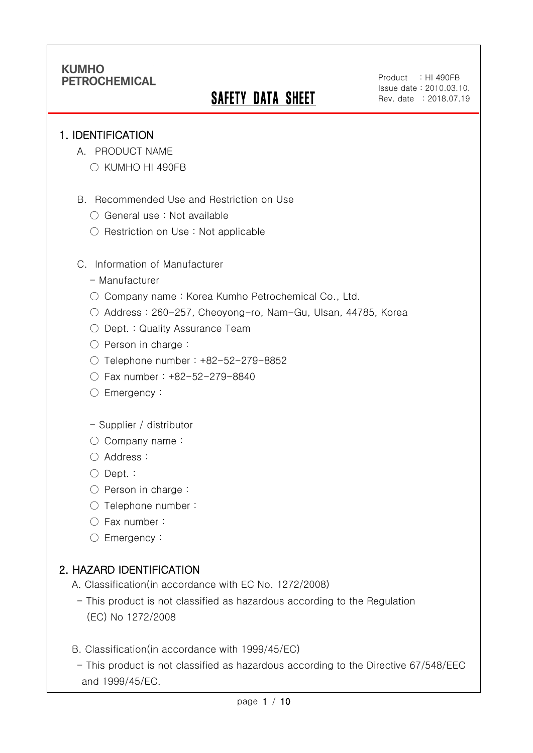# **SAFETY DATA SHEET**

Product : HI 490FB Issue date : 2010.03.10. Rev. date : 2018.07.19

### 1. IDENTIFICATION

Ī

- A. PRODUCT NAME
	- KUMHO HI 490FB
- B. Recommended Use and Restriction on Use
	- General use : Not available
	- Restriction on Use : Not applicable
- C. Information of Manufacturer
	- Manufacturer
	- Company name: Korea Kumho Petrochemical Co., Ltd.
	- Address : 260-257, Cheoyong-ro, Nam-Gu, Ulsan, 44785, Korea
	- Dept. : Quality Assurance Team
	- Person in charge :
	- Telephone number : +82-52-279-8852
	- Fax number : +82-52-279-8840
	- Emergency:
	- Supplier / distributor
	- Company name:
	- Address :
	- Dept. :
	- Person in charge :
	- Telephone number :
	- Fax number :
	- Emergency:

## 2. HAZARD IDENTIFICATION

- A. Classification(in accordance with EC No. 1272/2008)
	- This product is not classified as hazardous according to the Regulation (EC) No 1272/2008
- B. Classification(in accordance with 1999/45/EC)
- This product is not classified as hazardous according to the Directive 67/548/EEC and 1999/45/EC.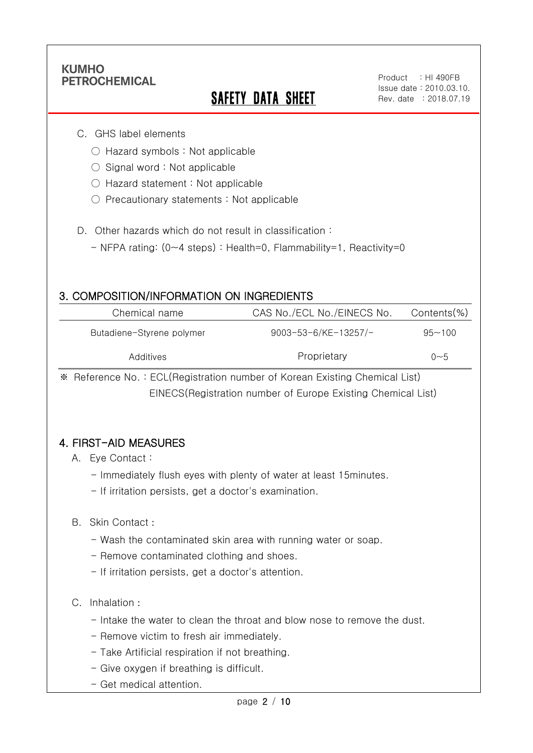Ī

# **SAFETY DATA SHEET**

#### C. GHS label elements

- Hazard symbols : Not applicable
- $\bigcirc$  Signal word : Not applicable
- Hazard statement : Not applicable
- Precautionary statements : Not applicable
- D. Other hazards which do not result in classification:
	- NFPA rating: (0~4 steps) : Health=0, Flammability=1, Reactivity=0

### 3. COMPOSITION/INFORMATION ON INGREDIENTS

| Chemical name             | CAS No./ECL No./EINECS No. | Contents(%) |
|---------------------------|----------------------------|-------------|
| Butadiene-Styrene polymer | 9003-53-6/KE-13257/-       | $95 - 100$  |
| Additives                 | Proprietary                | ი~5         |

※ Reference No. : ECL(Registration number of Korean Existing Chemical List) EINECS(Registration number of Europe Existing Chemical List)

### 4. FIRST-AID MEASURES

#### A. Eye Contact :

- Immediately flush eyes with plenty of water at least 15minutes.
- If irritation persists, get a doctor's examination.

#### B. Skin Contact :

- Wash the contaminated skin area with running water or soap.
- Remove contaminated clothing and shoes.
- If irritation persists, get a doctor's attention.

#### C. Inhalation :

- Intake the water to clean the throat and blow nose to remove the dust.
- Remove victim to fresh air immediately.
- Take Artificial respiration if not breathing.
- Give oxygen if breathing is difficult.
- Get medical attention.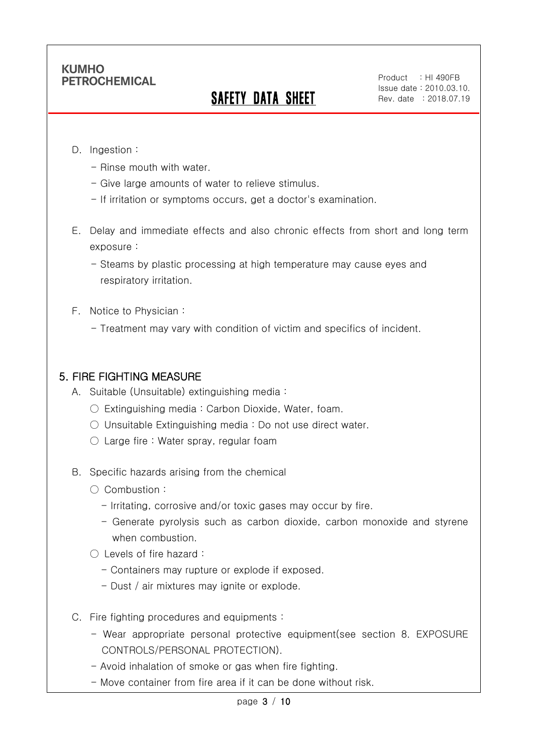# SAFETY DATA SHEET

Product : HI 490FB Issue date : 2010.03.10. Rev. date : 2018.07.19

#### D. Ingestion :

Ī

- Rinse mouth with water.
- Give large amounts of water to relieve stimulus.
- If irritation or symptoms occurs, get a doctor's examination.
- E. Delay and immediate effects and also chronic effects from short and long term exposure :

- Steams by plastic processing at high temperature may cause eyes and respiratory irritation.

- F. Notice to Physician :
	- Treatment may vary with condition of victim and specifics of incident.

### 5. FIRE FIGHTING MEASURE

- A. Suitable (Unsuitable) extinguishing media :
	- $\bigcirc$  Extinguishing media : Carbon Dioxide, Water, foam.
	- Unsuitable Extinguishing media : Do not use direct water.
	- $\circlearrowright$  Large fire : Water spray, regular foam
- B. Specific hazards arising from the chemical
	- Combustion :
		- Irritating, corrosive and/or toxic gases may occur by fire.
		- Generate pyrolysis such as carbon dioxide, carbon monoxide and styrene when combustion.
	- Levels of fire hazard :
		- Containers may rupture or explode if exposed.
		- Dust / air mixtures may ignite or explode.
- C. Fire fighting procedures and equipments :
	- Wear appropriate personal protective equipment(see section 8. EXPOSURE CONTROLS/PERSONAL PROTECTION).
	- Avoid inhalation of smoke or gas when fire fighting.
	- Move container from fire area if it can be done without risk.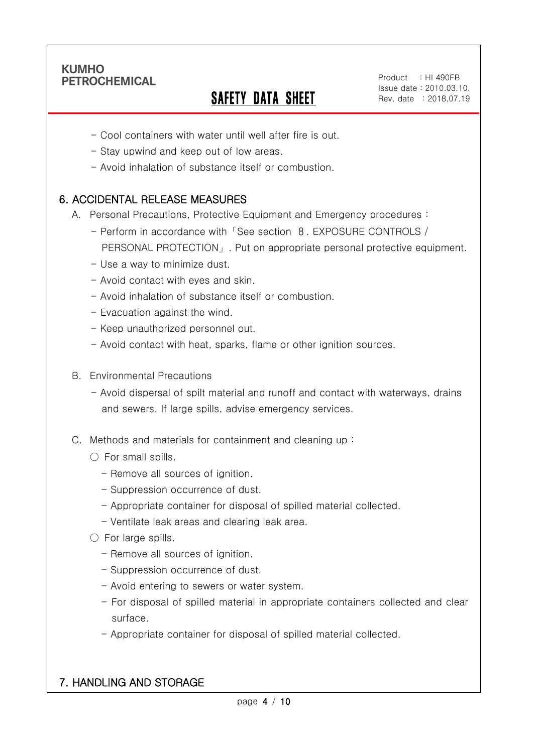Ī

# SAFETY DATA SHEET

Product : HI 490FB Issue date : 2010.03.10. Rev. date : 2018.07.19

- Cool containers with water until well after fire is out.
- Stay upwind and keep out of low areas.
- Avoid inhalation of substance itself or combustion.

## 6. ACCIDENTAL RELEASE MEASURES

- A. Personal Precautions, Protective Equipment and Emergency procedures :
	- Perform in accordance with「See section 8. EXPOSURE CONTROLS / PERSONAL PROTECTION」. Put on appropriate personal protective equipment.
	- Use a way to minimize dust.
	- Avoid contact with eyes and skin.
	- Avoid inhalation of substance itself or combustion.
	- Evacuation against the wind.
	- Keep unauthorized personnel out.
	- Avoid contact with heat, sparks, flame or other ignition sources.
- B. Environmental Precautions
	- Avoid dispersal of spilt material and runoff and contact with waterways, drains and sewers. If large spills, advise emergency services.
- C. Methods and materials for containment and cleaning up :
	- $\bigcirc$  For small spills.
		- Remove all sources of ignition.
		- Suppression occurrence of dust.
		- Appropriate container for disposal of spilled material collected.
		- Ventilate leak areas and clearing leak area.
	- For large spills.
		- Remove all sources of ignition.
		- Suppression occurrence of dust.
		- Avoid entering to sewers or water system.
		- For disposal of spilled material in appropriate containers collected and clear surface.
		- Appropriate container for disposal of spilled material collected.

## 7. HANDLING AND STORAGE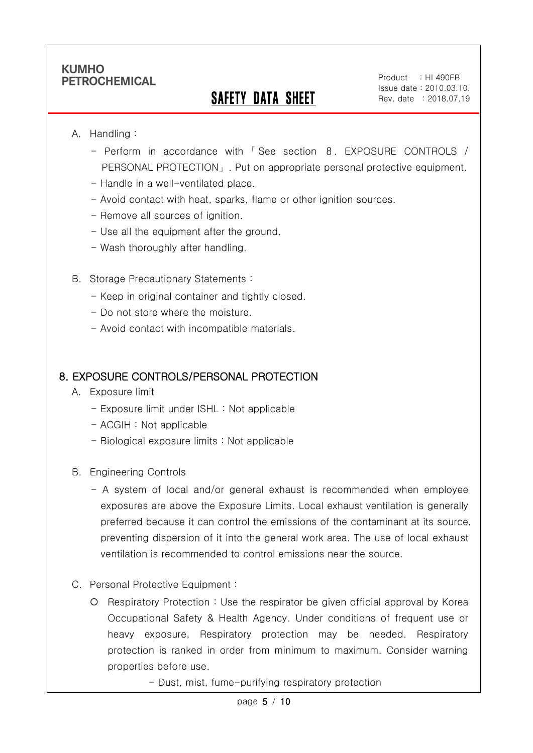## SAFETY DATA SHEET

#### A. Handling :

Ī

- Perform in accordance with 「 See section 8. EXPOSURE CONTROLS / PERSONAL PROTECTION」. Put on appropriate personal protective equipment.
- Handle in a well-ventilated place.
- Avoid contact with heat, sparks, flame or other ignition sources.
- Remove all sources of ignition.
- Use all the equipment after the ground.
- Wash thoroughly after handling.
- B. Storage Precautionary Statements :
	- Keep in original container and tightly closed.
	- Do not store where the moisture.
	- Avoid contact with incompatible materials.

### 8. EXPOSURE CONTROLS/PERSONAL PROTECTION

- A. Exposure limit
	- Exposure limit under ISHL : Not applicable
	- ACGIH : Not applicable
	- Biological exposure limits : Not applicable
- B. Engineering Controls
	- A system of local and/or general exhaust is recommended when employee exposures are above the Exposure Limits. Local exhaust ventilation is generally preferred because it can control the emissions of the contaminant at its source, preventing dispersion of it into the general work area. The use of local exhaust ventilation is recommended to control emissions near the source.
- C. Personal Protective Equipment :
	- Respiratory Protection : Use the respirator be given official approval by Korea Occupational Safety & Health Agency. Under conditions of frequent use or heavy exposure, Respiratory protection may be needed. Respiratory protection is ranked in order from minimum to maximum. Consider warning properties before use.
		- Dust, mist, fume-purifying respiratory protection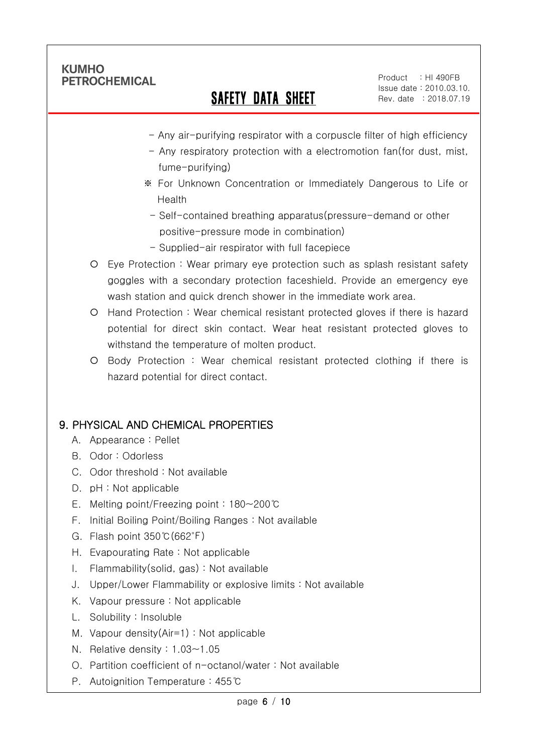Ī

## SAFETY DATA SHEET

Product : HI 490FB Issue date : 2010.03.10. Rev. date : 2018.07.19

- Any air-purifying respirator with a corpuscle filter of high efficiency
- Any respiratory protection with a electromotion fan(for dust, mist, fume-purifying)
- ※ For Unknown Concentration or Immediately Dangerous to Life or Health
- Self-contained breathing apparatus(pressure-demand or other positive-pressure mode in combination)
- Supplied-air respirator with full facepiece
- Eye Protection : Wear primary eye protection such as splash resistant safety goggles with a secondary protection faceshield. Provide an emergency eye wash station and quick drench shower in the immediate work area.
- Hand Protection : Wear chemical resistant protected gloves if there is hazard potential for direct skin contact. Wear heat resistant protected gloves to withstand the temperature of molten product.
- Body Protection : Wear chemical resistant protected clothing if there is hazard potential for direct contact.

## 9. PHYSICAL AND CHEMICAL PROPERTIES

- A. Appearance : Pellet
- B. Odor : Odorless
- C. Odor threshold : Not available
- D. pH : Not applicable
- E. Melting point/Freezing point : 180~200℃
- F. Initial Boiling Point/Boiling Ranges : Not available
- G. Flash point 350℃(662℉)
- H. Evapourating Rate : Not applicable
- I. Flammability(solid, gas) : Not available
- J. Upper/Lower Flammability or explosive limits : Not available
- K. Vapour pressure : Not applicable
- L. Solubility : Insoluble
- M. Vapour density(Air=1) : Not applicable
- N. Relative density : 1.03~1.05
- O. Partition coefficient of n-octanol/water : Not available
- P. Autoignition Temperature : 455℃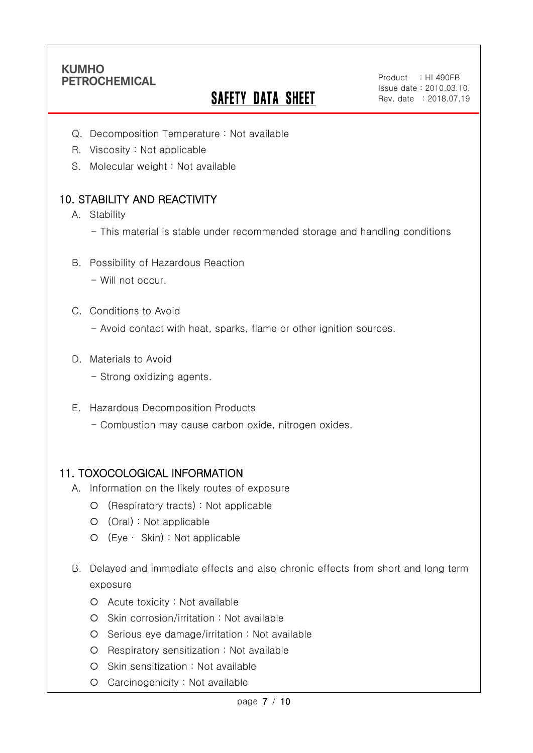Ī

# **SAFETY DATA SHEET**

Product : HI 490FB Issue date : 2010.03.10. Rev. date : 2018.07.19

- Q. Decomposition Temperature : Not available
- R. Viscosity : Not applicable
- S. Molecular weight : Not available

## 10. STABILITY AND REACTIVITY

- A. Stability
	- This material is stable under recommended storage and handling conditions
- B. Possibility of Hazardous Reaction
	- Will not occur.
- C. Conditions to Avoid
	- Avoid contact with heat, sparks, flame or other ignition sources.
- D. Materials to Avoid
	- Strong oxidizing agents.
- E. Hazardous Decomposition Products
	- Combustion may cause carbon oxide, nitrogen oxides.

#### 11. TOXOCOLOGICAL INFORMATION

- A. Information on the likely routes of exposure
	- (Respiratory tracts) : Not applicable
	- (Oral) : Not applicable
	- (Eye ∙ Skin) : Not applicable
- B. Delayed and immediate effects and also chronic effects from short and long term exposure
	- Acute toxicity : Not available
	- Skin corrosion/irritation : Not available
	- Serious eye damage/irritation : Not available
	- O Respiratory sensitization : Not available
	- O Skin sensitization : Not available
	- Carcinogenicity : Not available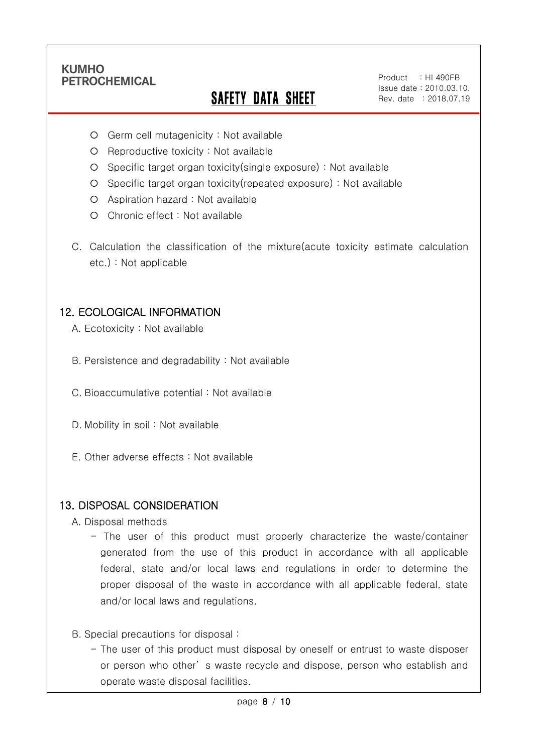Ī

# SAFETY DATA SHEET

Product : HI 490FB Issue date : 2010.03.10. Rev. date : 2018.07.19

- Germ cell mutagenicity : Not available
- $O$  Reproductive toxicity : Not available
- Specific target organ toxicity(single exposure) : Not available
- Specific target organ toxicity(repeated exposure) : Not available
- Aspiration hazard : Not available
- O Chronic effect : Not available
- C. Calculation the classification of the mixture(acute toxicity estimate calculation etc.) : Not applicable

### 12. ECOLOGICAL INFORMATION

- A. Ecotoxicity : Not available
- B. Persistence and degradability : Not available
- C. Bioaccumulative potential : Not available
- D. Mobility in soil : Not available
- E. Other adverse effects : Not available

#### 13. DISPOSAL CONSIDERATION

- A. Disposal methods
	- The user of this product must properly characterize the waste/container generated from the use of this product in accordance with all applicable federal, state and/or local laws and regulations in order to determine the proper disposal of the waste in accordance with all applicable federal, state and/or local laws and regulations.
- B. Special precautions for disposal :
	- The user of this product must disposal by oneself or entrust to waste disposer or person who other' s waste recycle and dispose, person who establish and operate waste disposal facilities.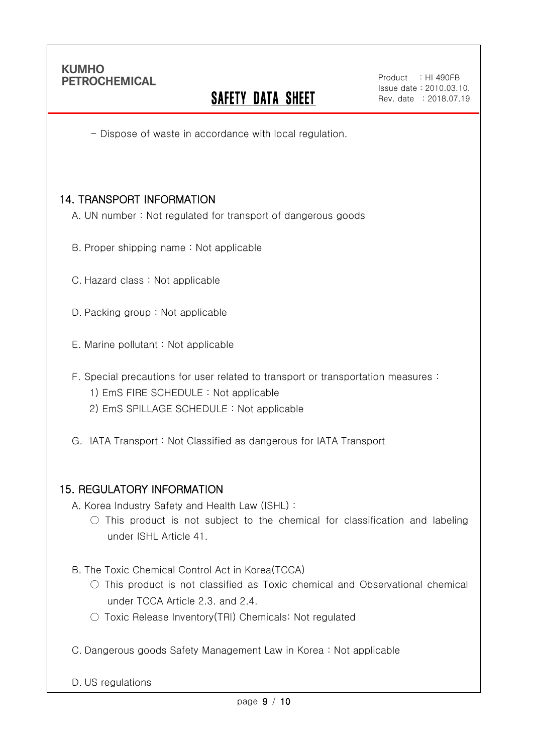Ī

## **SAFETY DATA SHEET**

- Dispose of waste in accordance with local regulation.

### 14. TRANSPORT INFORMATION

- A. UN number : Not regulated for transport of dangerous goods
- B. Proper shipping name : Not applicable
- C. Hazard class : Not applicable
- D. Packing group : Not applicable
- E. Marine pollutant : Not applicable
- F. Special precautions for user related to transport or transportation measures :
	- 1) EmS FIRE SCHEDULE : Not applicable
	- 2) EmS SPILLAGE SCHEDULE : Not applicable
- G. IATA Transport : Not Classified as dangerous for IATA Transport

#### 15. REGULATORY INFORMATION

- A. Korea Industry Safety and Health Law (ISHL) :
	- $\circ$  This product is not subject to the chemical for classification and labeling under ISHL Article 41.
- B. The Toxic Chemical Control Act in Korea(TCCA)
	- $\bigcirc$  This product is not classified as Toxic chemical and Observational chemical under TCCA Article 2.3. and 2.4.
	- Toxic Release Inventory(TRI) Chemicals: Not regulated
- C. Dangerous goods Safety Management Law in Korea : Not applicable

D. US regulations